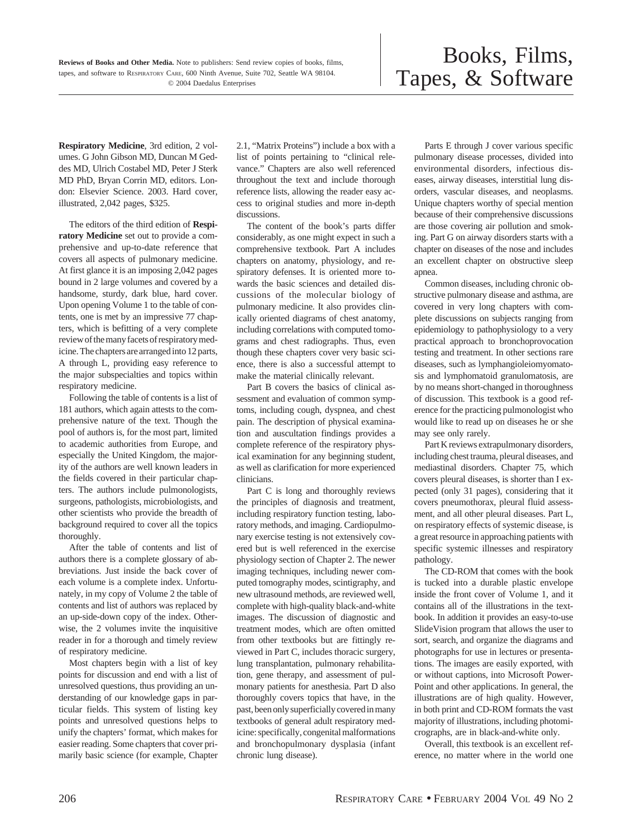**Respiratory Medicine**, 3rd edition, 2 volumes. G John Gibson MD, Duncan M Geddes MD, Ulrich Costabel MD, Peter J Sterk MD PhD, Bryan Corrin MD, editors. London: Elsevier Science. 2003. Hard cover, illustrated, 2,042 pages, \$325.

The editors of the third edition of **Respiratory Medicine** set out to provide a comprehensive and up-to-date reference that covers all aspects of pulmonary medicine. At first glance it is an imposing 2,042 pages bound in 2 large volumes and covered by a handsome, sturdy, dark blue, hard cover. Upon opening Volume 1 to the table of contents, one is met by an impressive 77 chapters, which is befitting of a very complete review of the many facets of respiratory medicine. The chapters are arranged into 12 parts, A through L, providing easy reference to the major subspecialties and topics within respiratory medicine.

Following the table of contents is a list of 181 authors, which again attests to the comprehensive nature of the text. Though the pool of authors is, for the most part, limited to academic authorities from Europe, and especially the United Kingdom, the majority of the authors are well known leaders in the fields covered in their particular chapters. The authors include pulmonologists, surgeons, pathologists, microbiologists, and other scientists who provide the breadth of background required to cover all the topics thoroughly.

After the table of contents and list of authors there is a complete glossary of abbreviations. Just inside the back cover of each volume is a complete index. Unfortunately, in my copy of Volume 2 the table of contents and list of authors was replaced by an up-side-down copy of the index. Otherwise, the 2 volumes invite the inquisitive reader in for a thorough and timely review of respiratory medicine.

Most chapters begin with a list of key points for discussion and end with a list of unresolved questions, thus providing an understanding of our knowledge gaps in particular fields. This system of listing key points and unresolved questions helps to unify the chapters' format, which makes for easier reading. Some chapters that cover primarily basic science (for example, Chapter

2.1, "Matrix Proteins") include a box with a list of points pertaining to "clinical relevance." Chapters are also well referenced throughout the text and include thorough reference lists, allowing the reader easy access to original studies and more in-depth discussions.

The content of the book's parts differ considerably, as one might expect in such a comprehensive textbook. Part A includes chapters on anatomy, physiology, and respiratory defenses. It is oriented more towards the basic sciences and detailed discussions of the molecular biology of pulmonary medicine. It also provides clinically oriented diagrams of chest anatomy, including correlations with computed tomograms and chest radiographs. Thus, even though these chapters cover very basic science, there is also a successful attempt to make the material clinically relevant.

Part B covers the basics of clinical assessment and evaluation of common symptoms, including cough, dyspnea, and chest pain. The description of physical examination and auscultation findings provides a complete reference of the respiratory physical examination for any beginning student, as well as clarification for more experienced clinicians.

Part C is long and thoroughly reviews the principles of diagnosis and treatment, including respiratory function testing, laboratory methods, and imaging. Cardiopulmonary exercise testing is not extensively covered but is well referenced in the exercise physiology section of Chapter 2. The newer imaging techniques, including newer computed tomography modes, scintigraphy, and new ultrasound methods, are reviewed well, complete with high-quality black-and-white images. The discussion of diagnostic and treatment modes, which are often omitted from other textbooks but are fittingly reviewed in Part C, includes thoracic surgery, lung transplantation, pulmonary rehabilitation, gene therapy, and assessment of pulmonary patients for anesthesia. Part D also thoroughly covers topics that have, in the past, been only superficially covered in many textbooks of general adult respiratory medicine: specifically, congenital malformations and bronchopulmonary dysplasia (infant chronic lung disease).

Parts E through J cover various specific pulmonary disease processes, divided into environmental disorders, infectious diseases, airway diseases, interstitial lung disorders, vascular diseases, and neoplasms. Unique chapters worthy of special mention because of their comprehensive discussions are those covering air pollution and smoking. Part G on airway disorders starts with a chapter on diseases of the nose and includes an excellent chapter on obstructive sleep apnea.

Common diseases, including chronic obstructive pulmonary disease and asthma, are covered in very long chapters with complete discussions on subjects ranging from epidemiology to pathophysiology to a very practical approach to bronchoprovocation testing and treatment. In other sections rare diseases, such as lymphangioleiomyomatosis and lymphomatoid granulomatosis, are by no means short-changed in thoroughness of discussion. This textbook is a good reference for the practicing pulmonologist who would like to read up on diseases he or she may see only rarely.

Part K reviews extrapulmonary disorders, including chest trauma, pleural diseases, and mediastinal disorders. Chapter 75, which covers pleural diseases, is shorter than I expected (only 31 pages), considering that it covers pneumothorax, pleural fluid assessment, and all other pleural diseases. Part L, on respiratory effects of systemic disease, is a great resource in approaching patients with specific systemic illnesses and respiratory pathology.

The CD-ROM that comes with the book is tucked into a durable plastic envelope inside the front cover of Volume 1, and it contains all of the illustrations in the textbook. In addition it provides an easy-to-use SlideVision program that allows the user to sort, search, and organize the diagrams and photographs for use in lectures or presentations. The images are easily exported, with or without captions, into Microsoft Power-Point and other applications. In general, the illustrations are of high quality. However, in both print and CD-ROM formats the vast majority of illustrations, including photomicrographs, are in black-and-white only.

Overall, this textbook is an excellent reference, no matter where in the world one